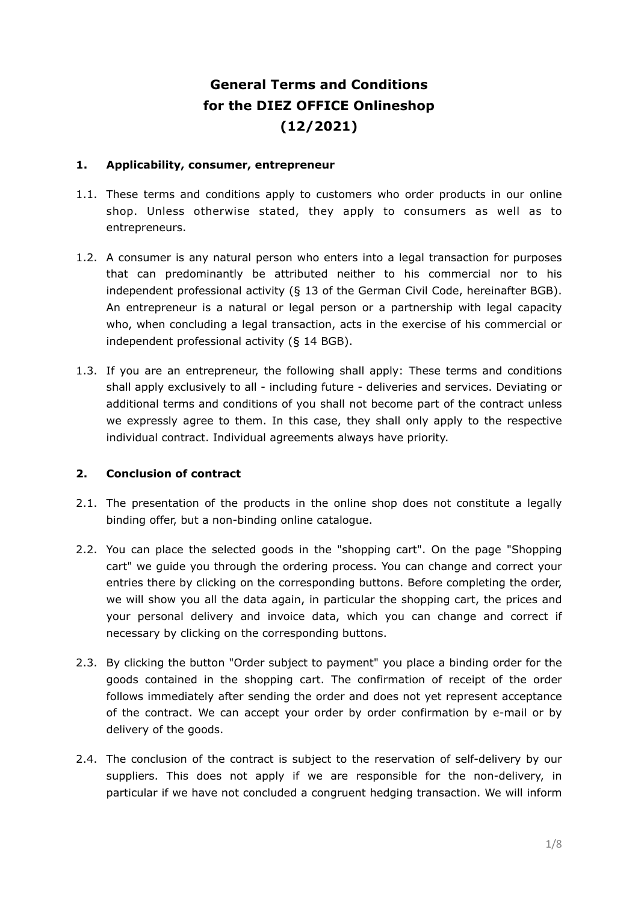# **General Terms and Conditions for the DIEZ OFFICE Onlineshop (12/2021)**

### **1. Applicability, consumer, entrepreneur**

- 1.1. These terms and conditions apply to customers who order products in our online shop. Unless otherwise stated, they apply to consumers as well as to entrepreneurs.
- 1.2. A consumer is any natural person who enters into a legal transaction for purposes that can predominantly be attributed neither to his commercial nor to his independent professional activity (§ 13 of the German Civil Code, hereinafter BGB). An entrepreneur is a natural or legal person or a partnership with legal capacity who, when concluding a legal transaction, acts in the exercise of his commercial or independent professional activity (§ 14 BGB).
- 1.3. If you are an entrepreneur, the following shall apply: These terms and conditions shall apply exclusively to all - including future - deliveries and services. Deviating or additional terms and conditions of you shall not become part of the contract unless we expressly agree to them. In this case, they shall only apply to the respective individual contract. Individual agreements always have priority.

# **2. Conclusion of contract**

- 2.1. The presentation of the products in the online shop does not constitute a legally binding offer, but a non-binding online catalogue.
- 2.2. You can place the selected goods in the "shopping cart". On the page "Shopping cart" we guide you through the ordering process. You can change and correct your entries there by clicking on the corresponding buttons. Before completing the order, we will show you all the data again, in particular the shopping cart, the prices and your personal delivery and invoice data, which you can change and correct if necessary by clicking on the corresponding buttons.
- 2.3. By clicking the button "Order subject to payment" you place a binding order for the goods contained in the shopping cart. The confirmation of receipt of the order follows immediately after sending the order and does not yet represent acceptance of the contract. We can accept your order by order confirmation by e-mail or by delivery of the goods.
- 2.4. The conclusion of the contract is subject to the reservation of self-delivery by our suppliers. This does not apply if we are responsible for the non-delivery, in particular if we have not concluded a congruent hedging transaction. We will inform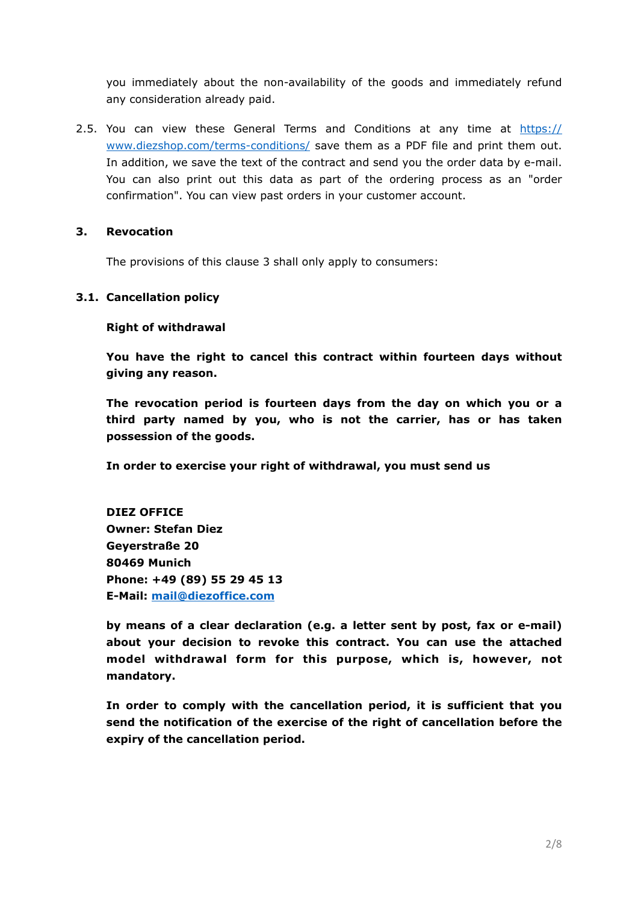you immediately about the non-availability of the goods and immediately refund any consideration already paid.

2.5. You can view these General Terms and Conditions at any time at [https://](https://www.diezshop.com/terms-conditions/) [www.diezshop.com/terms-conditions/](https://www.diezshop.com/terms-conditions/) save them as a PDF file and print them out. In addition, we save the text of the contract and send you the order data by e-mail. You can also print out this data as part of the ordering process as an "order confirmation". You can view past orders in your customer account.

### **3. Revocation**

The provisions of this clause 3 shall only apply to consumers:

#### **3.1. Cancellation policy**

#### **Right of withdrawal**

**You have the right to cancel this contract within fourteen days without giving any reason.**

**The revocation period is fourteen days from the day on which you or a third party named by you, who is not the carrier, has or has taken possession of the goods.**

**In order to exercise your right of withdrawal, you must send us**

**DIEZ OFFICE Owner: Stefan Diez Geyerstraße 20 80469 Munich Phone: +49 (89) 55 29 45 13 E-Mail: [mail@diezoffice.com](mailto:mail@diezoffice.com)**

**by means of a clear declaration (e.g. a letter sent by post, fax or e-mail) about your decision to revoke this contract. You can use the attached model withdrawal form for this purpose, which is, however, not mandatory.**

**In order to comply with the cancellation period, it is sufficient that you send the notification of the exercise of the right of cancellation before the expiry of the cancellation period.**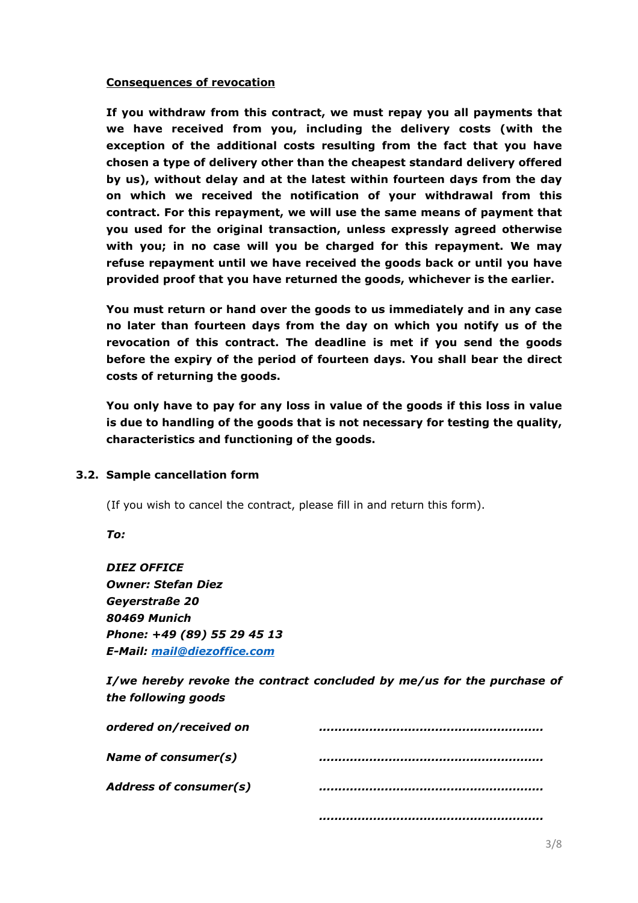#### **Consequences of revocation**

**If you withdraw from this contract, we must repay you all payments that we have received from you, including the delivery costs (with the exception of the additional costs resulting from the fact that you have chosen a type of delivery other than the cheapest standard delivery offered by us), without delay and at the latest within fourteen days from the day on which we received the notification of your withdrawal from this contract. For this repayment, we will use the same means of payment that you used for the original transaction, unless expressly agreed otherwise with you; in no case will you be charged for this repayment. We may refuse repayment until we have received the goods back or until you have provided proof that you have returned the goods, whichever is the earlier.**

**You must return or hand over the goods to us immediately and in any case no later than fourteen days from the day on which you notify us of the revocation of this contract. The deadline is met if you send the goods before the expiry of the period of fourteen days. You shall bear the direct costs of returning the goods.**

**You only have to pay for any loss in value of the goods if this loss in value is due to handling of the goods that is not necessary for testing the quality, characteristics and functioning of the goods.**

#### **3.2. Sample cancellation form**

(If you wish to cancel the contract, please fill in and return this form).

*To:*

*DIEZ OFFICE Owner: Stefan Diez Geyerstraße 20 80469 Munich Phone: +49 (89) 55 29 45 13 E-Mail: [mail@diezoffice.com](mailto:mail@diezoffice.com)*

*I/we hereby revoke the contract concluded by me/us for the purchase of the following goods*

| ordered on/received on        |  |
|-------------------------------|--|
| Name of consumer(s)           |  |
| <b>Address of consumer(s)</b> |  |
|                               |  |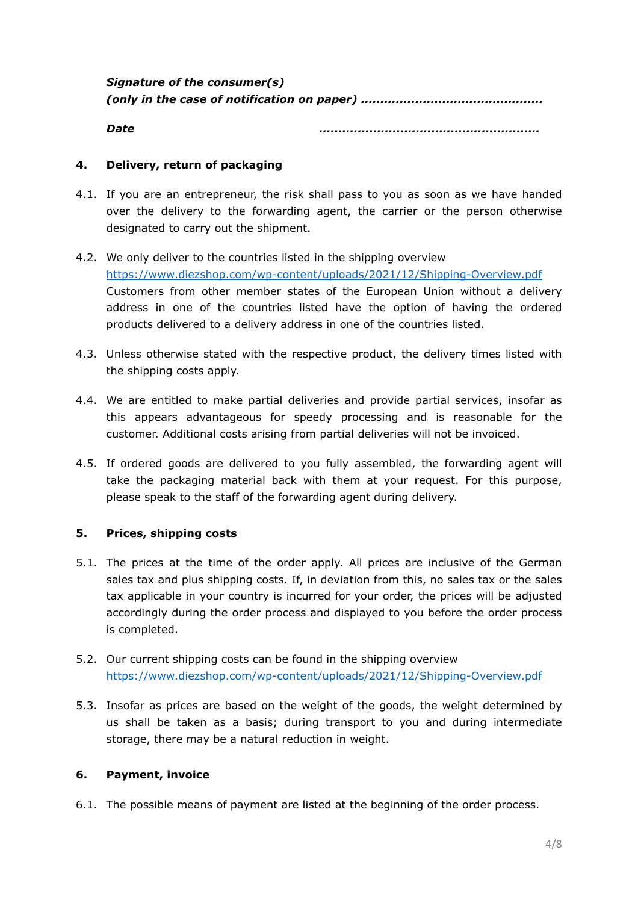*Signature of the consumer(s) (only in the case of notification on paper) ...............................................*

*Date .........................................................*

## **4. Delivery, return of packaging**

- 4.1. If you are an entrepreneur, the risk shall pass to you as soon as we have handed over the delivery to the forwarding agent, the carrier or the person otherwise designated to carry out the shipment.
- 4.2. We only deliver to the countries listed in the shipping overview <https://www.diezshop.com/wp-content/uploads/2021/12/Shipping-Overview.pdf> Customers from other member states of the European Union without a delivery address in one of the countries listed have the option of having the ordered products delivered to a delivery address in one of the countries listed.
- 4.3. Unless otherwise stated with the respective product, the delivery times listed with the shipping costs apply.
- 4.4. We are entitled to make partial deliveries and provide partial services, insofar as this appears advantageous for speedy processing and is reasonable for the customer. Additional costs arising from partial deliveries will not be invoiced.
- 4.5. If ordered goods are delivered to you fully assembled, the forwarding agent will take the packaging material back with them at your request. For this purpose, please speak to the staff of the forwarding agent during delivery.

#### **5. Prices, shipping costs**

- 5.1. The prices at the time of the order apply. All prices are inclusive of the German sales tax and plus shipping costs. If, in deviation from this, no sales tax or the sales tax applicable in your country is incurred for your order, the prices will be adjusted accordingly during the order process and displayed to you before the order process is completed.
- 5.2. Our current shipping costs can be found in the shipping overview <https://www.diezshop.com/wp-content/uploads/2021/12/Shipping-Overview.pdf>
- 5.3. Insofar as prices are based on the weight of the goods, the weight determined by us shall be taken as a basis; during transport to you and during intermediate storage, there may be a natural reduction in weight.

#### **6. Payment, invoice**

6.1. The possible means of payment are listed at the beginning of the order process.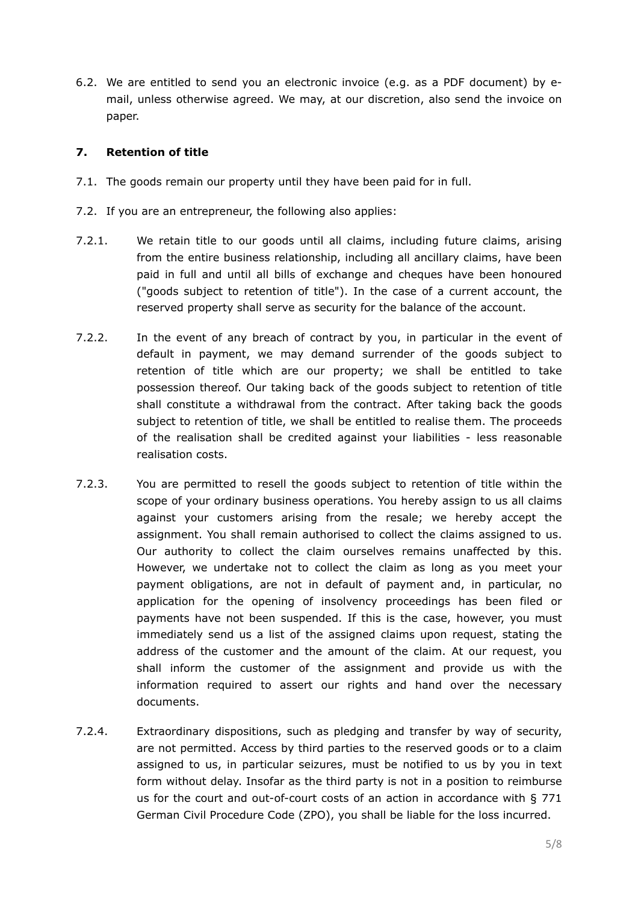6.2. We are entitled to send you an electronic invoice (e.g. as a PDF document) by email, unless otherwise agreed. We may, at our discretion, also send the invoice on paper.

#### **7. Retention of title**

- 7.1. The goods remain our property until they have been paid for in full.
- 7.2. If you are an entrepreneur, the following also applies:
- 7.2.1. We retain title to our goods until all claims, including future claims, arising from the entire business relationship, including all ancillary claims, have been paid in full and until all bills of exchange and cheques have been honoured ("goods subject to retention of title"). In the case of a current account, the reserved property shall serve as security for the balance of the account.
- 7.2.2. In the event of any breach of contract by you, in particular in the event of default in payment, we may demand surrender of the goods subject to retention of title which are our property; we shall be entitled to take possession thereof. Our taking back of the goods subject to retention of title shall constitute a withdrawal from the contract. After taking back the goods subject to retention of title, we shall be entitled to realise them. The proceeds of the realisation shall be credited against your liabilities - less reasonable realisation costs.
- 7.2.3. You are permitted to resell the goods subject to retention of title within the scope of your ordinary business operations. You hereby assign to us all claims against your customers arising from the resale; we hereby accept the assignment. You shall remain authorised to collect the claims assigned to us. Our authority to collect the claim ourselves remains unaffected by this. However, we undertake not to collect the claim as long as you meet your payment obligations, are not in default of payment and, in particular, no application for the opening of insolvency proceedings has been filed or payments have not been suspended. If this is the case, however, you must immediately send us a list of the assigned claims upon request, stating the address of the customer and the amount of the claim. At our request, you shall inform the customer of the assignment and provide us with the information required to assert our rights and hand over the necessary documents.
- 7.2.4. Extraordinary dispositions, such as pledging and transfer by way of security, are not permitted. Access by third parties to the reserved goods or to a claim assigned to us, in particular seizures, must be notified to us by you in text form without delay. Insofar as the third party is not in a position to reimburse us for the court and out-of-court costs of an action in accordance with § 771 German Civil Procedure Code (ZPO), you shall be liable for the loss incurred.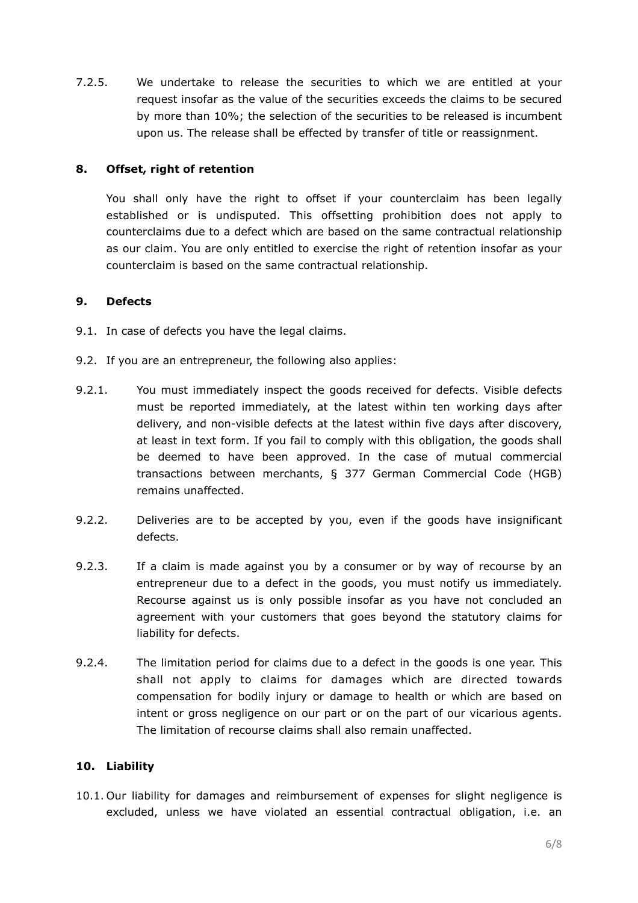7.2.5. We undertake to release the securities to which we are entitled at your request insofar as the value of the securities exceeds the claims to be secured by more than 10%; the selection of the securities to be released is incumbent upon us. The release shall be effected by transfer of title or reassignment.

## **8. Offset, right of retention**

You shall only have the right to offset if your counterclaim has been legally established or is undisputed. This offsetting prohibition does not apply to counterclaims due to a defect which are based on the same contractual relationship as our claim. You are only entitled to exercise the right of retention insofar as your counterclaim is based on the same contractual relationship.

## **9. Defects**

- 9.1. In case of defects you have the legal claims.
- 9.2. If you are an entrepreneur, the following also applies:
- 9.2.1. You must immediately inspect the goods received for defects. Visible defects must be reported immediately, at the latest within ten working days after delivery, and non-visible defects at the latest within five days after discovery, at least in text form. If you fail to comply with this obligation, the goods shall be deemed to have been approved. In the case of mutual commercial transactions between merchants, § 377 German Commercial Code (HGB) remains unaffected.
- 9.2.2. Deliveries are to be accepted by you, even if the goods have insignificant defects.
- 9.2.3. If a claim is made against you by a consumer or by way of recourse by an entrepreneur due to a defect in the goods, you must notify us immediately. Recourse against us is only possible insofar as you have not concluded an agreement with your customers that goes beyond the statutory claims for liability for defects.
- 9.2.4. The limitation period for claims due to a defect in the goods is one year. This shall not apply to claims for damages which are directed towards compensation for bodily injury or damage to health or which are based on intent or gross negligence on our part or on the part of our vicarious agents. The limitation of recourse claims shall also remain unaffected.

#### **10. Liability**

10.1. Our liability for damages and reimbursement of expenses for slight negligence is excluded, unless we have violated an essential contractual obligation, i.e. an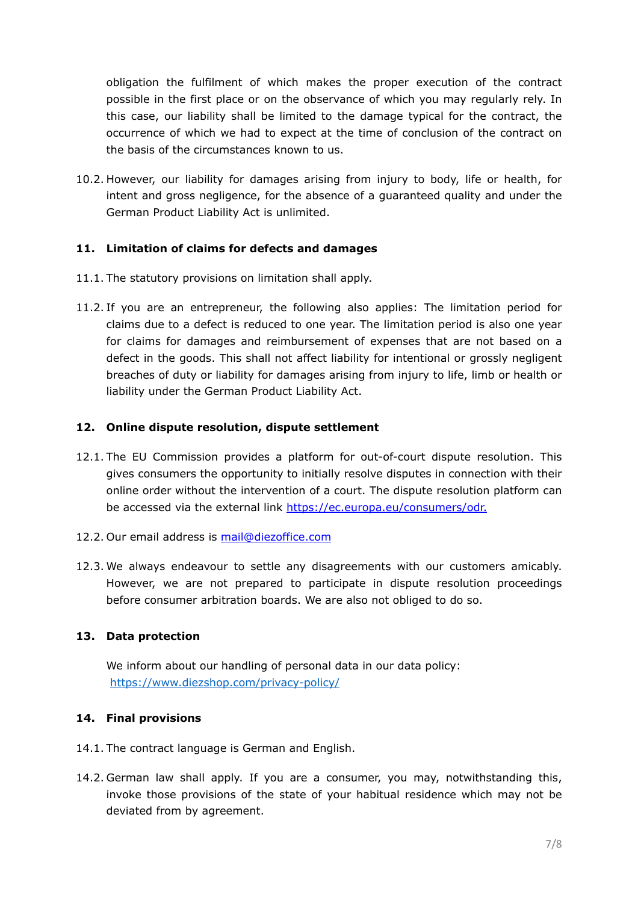obligation the fulfilment of which makes the proper execution of the contract possible in the first place or on the observance of which you may regularly rely. In this case, our liability shall be limited to the damage typical for the contract, the occurrence of which we had to expect at the time of conclusion of the contract on the basis of the circumstances known to us.

10.2. However, our liability for damages arising from injury to body, life or health, for intent and gross negligence, for the absence of a guaranteed quality and under the German Product Liability Act is unlimited.

# **11. Limitation of claims for defects and damages**

- 11.1. The statutory provisions on limitation shall apply.
- 11.2. If you are an entrepreneur, the following also applies: The limitation period for claims due to a defect is reduced to one year. The limitation period is also one year for claims for damages and reimbursement of expenses that are not based on a defect in the goods. This shall not affect liability for intentional or grossly negligent breaches of duty or liability for damages arising from injury to life, limb or health or liability under the German Product Liability Act.

## **12. Online dispute resolution, dispute settlement**

- 12.1. The EU Commission provides a platform for out-of-court dispute resolution. This gives consumers the opportunity to initially resolve disputes in connection with their online order without the intervention of a court. The dispute resolution platform can be accessed via the external link [https://ec.europa.eu/consumers/odr.](https://ec.europa.eu/consumers/odr)
- 12.2. Our email address is [mail@diezoffice.com](mailto:mail@diezoffice.com)
- 12.3. We always endeavour to settle any disagreements with our customers amicably. However, we are not prepared to participate in dispute resolution proceedings before consumer arbitration boards. We are also not obliged to do so.

# **13. Data protection**

We inform about our handling of personal data in our data policy: <https://www.diezshop.com/privacy-policy/>

# **14. Final provisions**

- 14.1. The contract language is German and English.
- 14.2. German law shall apply. If you are a consumer, you may, notwithstanding this, invoke those provisions of the state of your habitual residence which may not be deviated from by agreement.